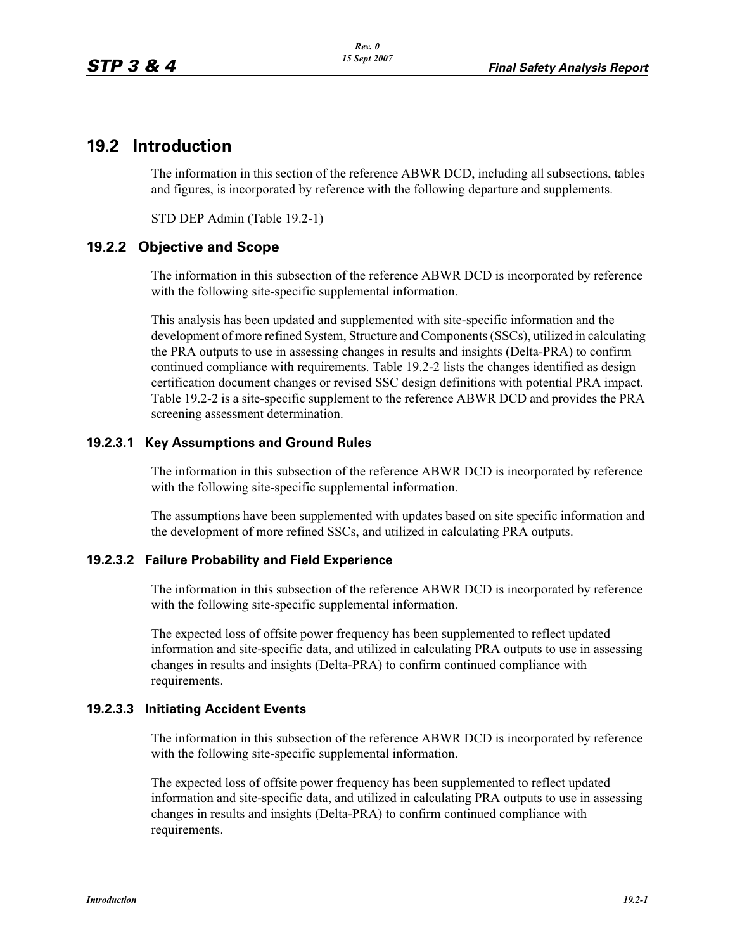# **19.2 Introduction**

The information in this section of the reference ABWR DCD, including all subsections, tables and figures, is incorporated by reference with the following departure and supplements.

STD DEP Admin (Table 19.2-1)

# **19.2.2 Objective and Scope**

The information in this subsection of the reference ABWR DCD is incorporated by reference with the following site-specific supplemental information.

This analysis has been updated and supplemented with site-specific information and the development of more refined System, Structure and Components (SSCs), utilized in calculating the PRA outputs to use in assessing changes in results and insights (Delta-PRA) to confirm continued compliance with requirements. Table 19.2-2 lists the changes identified as design certification document changes or revised SSC design definitions with potential PRA impact. Table 19.2-2 is a site-specific supplement to the reference ABWR DCD and provides the PRA screening assessment determination.

## **19.2.3.1 Key Assumptions and Ground Rules**

The information in this subsection of the reference ABWR DCD is incorporated by reference with the following site-specific supplemental information.

The assumptions have been supplemented with updates based on site specific information and the development of more refined SSCs, and utilized in calculating PRA outputs.

#### **19.2.3.2 Failure Probability and Field Experience**

The information in this subsection of the reference ABWR DCD is incorporated by reference with the following site-specific supplemental information.

The expected loss of offsite power frequency has been supplemented to reflect updated information and site-specific data, and utilized in calculating PRA outputs to use in assessing changes in results and insights (Delta-PRA) to confirm continued compliance with requirements.

#### **19.2.3.3 Initiating Accident Events**

The information in this subsection of the reference ABWR DCD is incorporated by reference with the following site-specific supplemental information.

The expected loss of offsite power frequency has been supplemented to reflect updated information and site-specific data, and utilized in calculating PRA outputs to use in assessing changes in results and insights (Delta-PRA) to confirm continued compliance with requirements.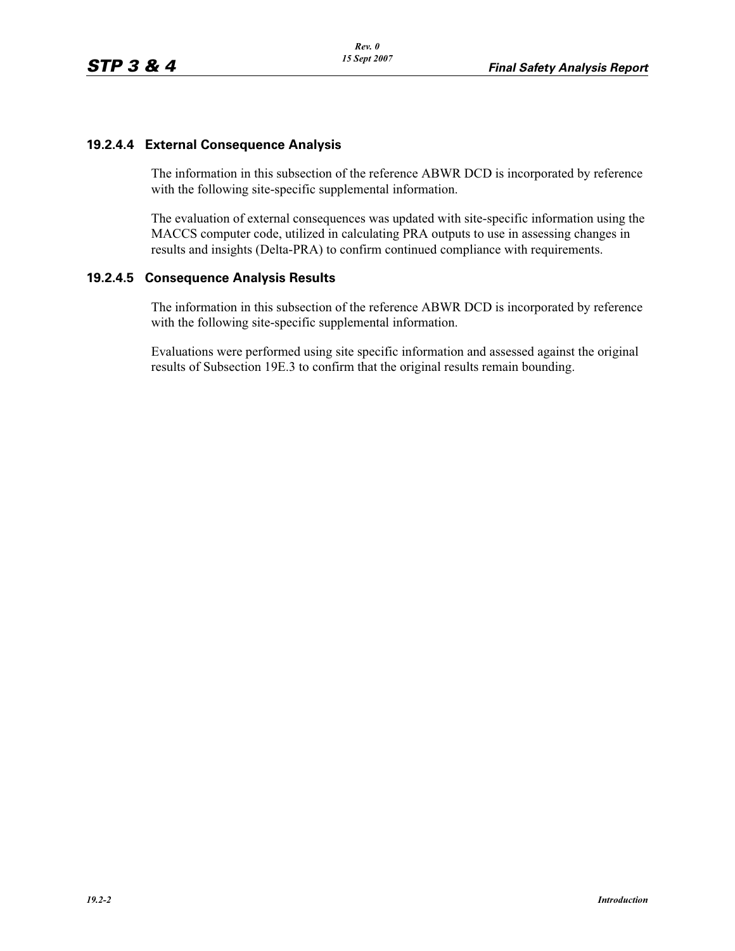## **19.2.4.4 External Consequence Analysis**

The information in this subsection of the reference ABWR DCD is incorporated by reference with the following site-specific supplemental information.

The evaluation of external consequences was updated with site-specific information using the MACCS computer code, utilized in calculating PRA outputs to use in assessing changes in results and insights (Delta-PRA) to confirm continued compliance with requirements.

### **19.2.4.5 Consequence Analysis Results**

The information in this subsection of the reference ABWR DCD is incorporated by reference with the following site-specific supplemental information.

Evaluations were performed using site specific information and assessed against the original results of Subsection 19E.3 to confirm that the original results remain bounding.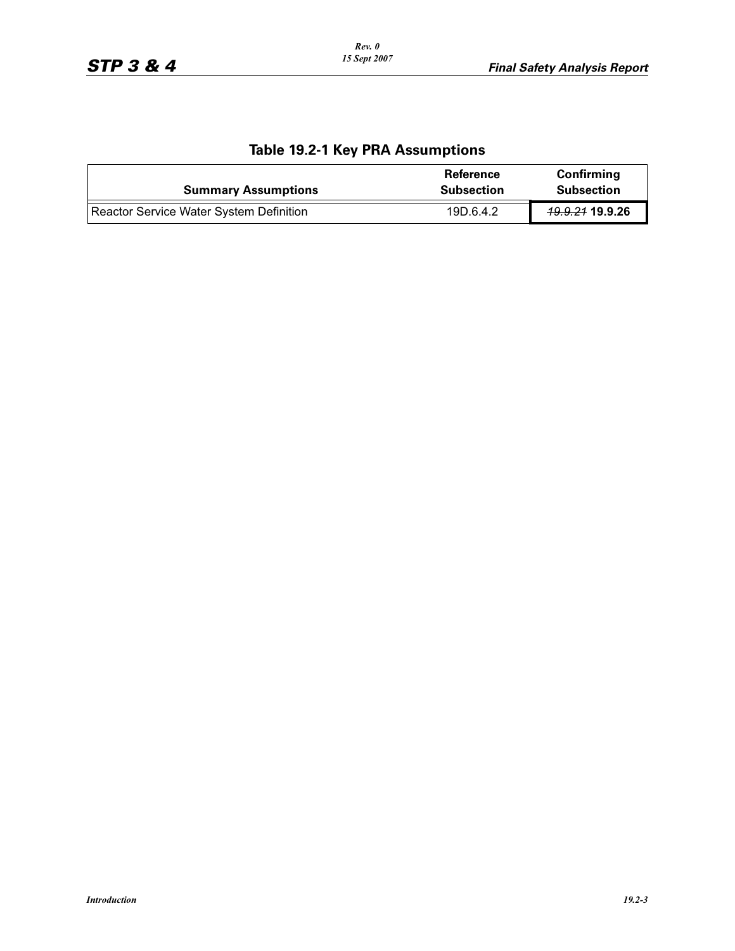| $1000$ $1012$ $1107$ $1177$ $1000$ $111$       |                                       |                                 |
|------------------------------------------------|---------------------------------------|---------------------------------|
| <b>Summary Assumptions</b>                     | <b>Reference</b><br><b>Subsection</b> | Confirming<br><b>Subsection</b> |
| <b>Reactor Service Water System Definition</b> | 19D.6.4.2                             | 49.9.24 19.9.26                 |

# **Table 19.2-1 Key PRA Assumptions**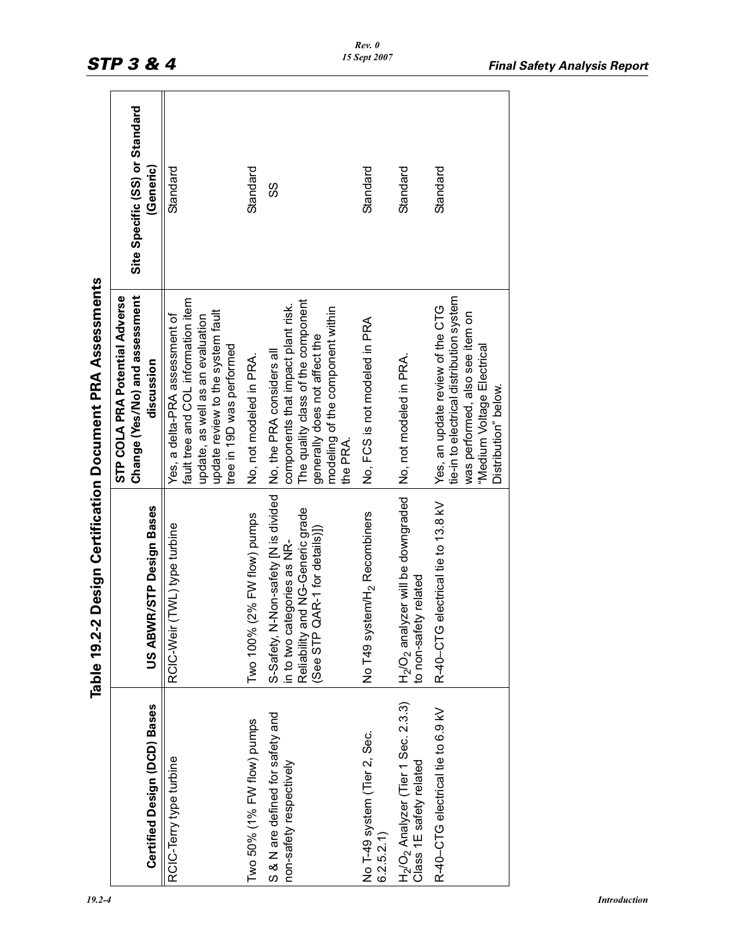|                                                                                        |                                                                                                                                                   | Table 19.2-2 Design Certification Document PRA Assessments                                                                                                                             |                                             |
|----------------------------------------------------------------------------------------|---------------------------------------------------------------------------------------------------------------------------------------------------|----------------------------------------------------------------------------------------------------------------------------------------------------------------------------------------|---------------------------------------------|
| Certified Design (DCD) Bases                                                           | US ABWR/STP Design Bases                                                                                                                          | Change (Yes/No) and assessment<br>STP COLA PRA Potential Adverse<br>discussion                                                                                                         | Site Specific (SS) or Standard<br>(Generic) |
| RCIC-Terry type turbine                                                                | RCIC-Weir (TWL) type turbine                                                                                                                      | fault tree and COL information item<br>update review to the system fault<br>Yes, a delta-PRA assessment of<br>update, as well as an evaluation<br>tree in 19D was performed            | Standard                                    |
| Two 50% (1% FW flow) pumps                                                             | Two 100% (2% FW flow) pumps                                                                                                                       | No, not modeled in PRA.                                                                                                                                                                | Standard                                    |
| S & N are defined for safety and<br>non-safety respectively                            | N-Non-safety [N is divided<br>and NG-Generic grade<br>QAR-1 for details)])<br>in to two categories as NR-<br>(See STP<br>S-Safety,<br>Reliability | The quality class of the component<br>components that impact plant risk.<br>modeling of the component within<br>generally does not affect the<br>No, the PRA considers all<br>the PRA. | ပ္ပ                                         |
| No T-49 system (Tier 2, Sec.<br>6.2.5.2.1)                                             | No T49 system/H <sub>2</sub> Recombiners                                                                                                          | No, FCS is not modeled in PRA                                                                                                                                                          | Standard                                    |
| H <sub>2</sub> /O <sub>2</sub> Analyzer (Tier 1 Sec. 2.3.3)<br>Class 1E safety related | $H_2/O_2$ analyzer will be downgraded<br>to non-safety related                                                                                    | No, not modeled in PRA.                                                                                                                                                                | Standard                                    |
| R-40-CTG electrical tie to 6.9 kV                                                      | R-40-CTG electrical tie to 13.8 kV                                                                                                                | tie-in to electrical distribution system<br>Yes, an update review of the CTG<br>was performed, also see item on<br>"Medium Voltage Electrical<br>Distribution" below.                  | Standard                                    |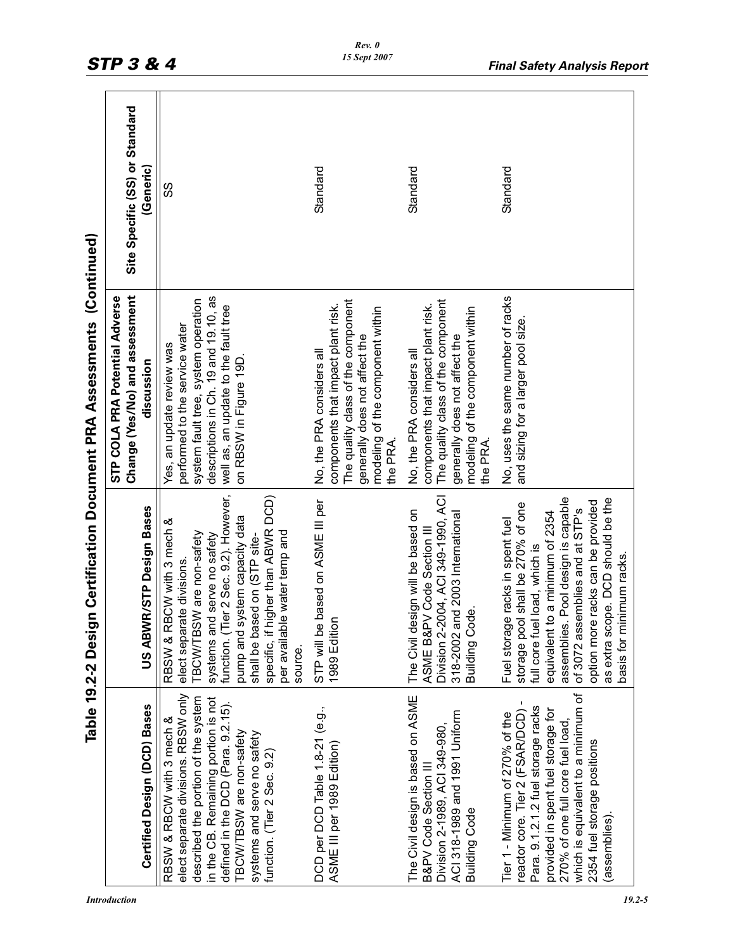|                                                                                                                                                                                                                                                                                | Table 19.2-2 Desi                                                                                                                                                                                                                                                                                                       | gn Certification Document PRA Assessments (Continued)                                                                                                                                                       |                                |
|--------------------------------------------------------------------------------------------------------------------------------------------------------------------------------------------------------------------------------------------------------------------------------|-------------------------------------------------------------------------------------------------------------------------------------------------------------------------------------------------------------------------------------------------------------------------------------------------------------------------|-------------------------------------------------------------------------------------------------------------------------------------------------------------------------------------------------------------|--------------------------------|
|                                                                                                                                                                                                                                                                                |                                                                                                                                                                                                                                                                                                                         | Change (Yes/No) and assessment<br>STP COLA PRA Potential Adverse                                                                                                                                            | Site Specific (SS) or Standard |
| <b>Certified Design (DCD) Bases</b>                                                                                                                                                                                                                                            | US ABWR/STP Design Bases                                                                                                                                                                                                                                                                                                | discussion                                                                                                                                                                                                  | (Generic)                      |
| elect separate divisions. RBSW only<br>described the portion of the system<br>in the CB. Remaining portion is not<br>defined in the DCD (Para. 9.2.15).<br>RBSW & RBCW with 3 mech &<br>TBCW/TBSW are non-safety<br>systems and serve no safety<br>function. (Tier 2 Sec. 9.2) | function. (Tier 2 Sec. 9.2). However,<br>higher than ABWR DCD)<br>pump and system capacity data<br>RBSW & RBCW with 3 mech &<br>TBCW/TBSW are non-safety<br>per available water temp and<br>systems and serve no safety<br>shall be based on (STP site-<br>elect separate divisions.<br>specific, if<br>source.         | descriptions in Ch. 19 and 19.10, as<br>system fault tree, system operation<br>well as, an update to the fault tree<br>performed to the service water<br>Yes, an update review was<br>on RBSW in Figure 19D | SS                             |
| DCD per DCD Table 1.8-21 (e.g.,<br>ASME III per 1989 Edition)                                                                                                                                                                                                                  | STP will be based on ASME III per<br>1989 Edition                                                                                                                                                                                                                                                                       | The quality class of the component<br>components that impact plant risk.<br>modeling of the component within<br>generally does not affect the<br>No, the PRA considers all<br>the PRA                       | Standard                       |
| The Civil design is based on ASME<br>ACI 318-1989 and 1991 Uniform<br>Division 2-1989, ACI 349-980,<br>B&PV Code Section III<br><b>Building Code</b>                                                                                                                           | Division 2-2004, ACI 349-1990, ACI<br>The Civil design will be based on<br>318-2002 and 2003 International<br>ASME B&PV Code Section III<br>ode.<br>Building C                                                                                                                                                          | The quality class of the component<br>components that impact plant risk.<br>modeling of the component within<br>generally does not affect the<br>No, the PRA considers all<br>the PRA.                      | Standard                       |
| which is equivalent to a minimum of<br>reactor core. Tier 2 (FSAR/DCD) -<br>Para. 9.1.2.1.2 fuel storage racks<br>provided in spent fuel storage for<br>Tier 1 - Minimum of 270% of the<br>270% of one full core fuel load,<br>2354 fuel storage positions<br>assemblies).     | assemblies. Pool design is capable<br>as extra scope. DCD should be the<br>option more racks can be provided<br>storage pool shall be 270% of one<br>of 3072 assemblies and at STP's<br>equivalent to a minimum of 2354<br>Fuel storage racks in spent fuel<br>full core fuel load, which is<br>basis for minimum racks | No, uses the same number of racks<br>and sizing for a larger pool size                                                                                                                                      | Standard                       |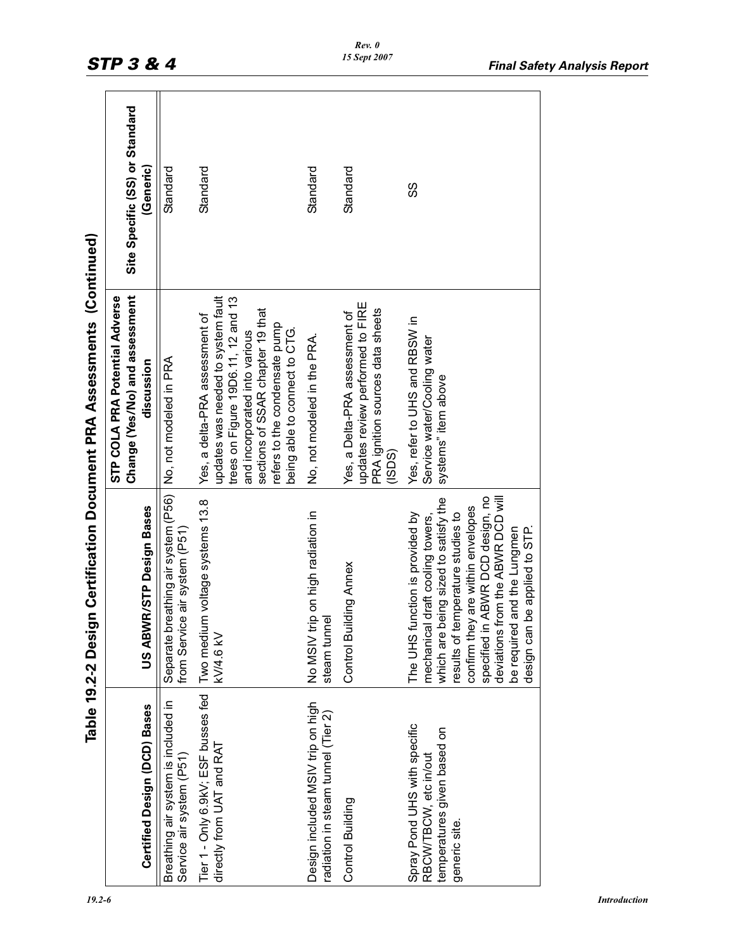|                                                                                                       |                                                                                                                                                                                                                                                                                                                                           | Table 19.2-2 Design Certification Document PRA Assessments (Continued)                                                                                                                                                                            |                                             |
|-------------------------------------------------------------------------------------------------------|-------------------------------------------------------------------------------------------------------------------------------------------------------------------------------------------------------------------------------------------------------------------------------------------------------------------------------------------|---------------------------------------------------------------------------------------------------------------------------------------------------------------------------------------------------------------------------------------------------|---------------------------------------------|
| Certified Design (DCD) Bases                                                                          | US ABWR/STP Design Bases                                                                                                                                                                                                                                                                                                                  | Change (Yes/No) and assessment<br>STP COLA PRA Potential Adverse<br>discussion                                                                                                                                                                    | Site Specific (SS) or Standard<br>(Generic) |
| Breathing air system is included in<br>Service air system (P51)                                       | Separate breathing air system (P56)<br>from Service air system (P51)                                                                                                                                                                                                                                                                      | No, not modeled in PRA                                                                                                                                                                                                                            | Standard                                    |
| Tier 1 - Only 6.9kV; ESF busses fed<br>directly from UAT and RAT                                      | Two medium voltage systems 13.8<br><b>KV/4.6 KV</b>                                                                                                                                                                                                                                                                                       | updates was needed to system fault<br>trees on Figure 19D6.11, 12 and 13<br>sections of SSAR chapter 19 that<br>Yes, a delta-PRA assessment of<br>refers to the condensate pump<br>being able to connect to CTG.<br>and incorporated into various | Standard                                    |
| Design included MSIV trip on high<br>radiation in steam tunnel (Tier 2)                               | No MSIV trip on high radiation in<br>steam tunnel                                                                                                                                                                                                                                                                                         | No, not modeled in the PRA.                                                                                                                                                                                                                       | Standard                                    |
| Control Building                                                                                      | Control Building Annex                                                                                                                                                                                                                                                                                                                    | updates review performed to FIRE<br>PRA ignition sources data sheets<br>Yes, a Delta-PRA assessment of<br>(15DS)                                                                                                                                  | Standard                                    |
| Spray Pond UHS with specific<br>temperatures given based on<br>RBCW/TBCW, etc in/out<br>generic site. | specified in ABWR DCD design, no<br>from the ABWR DCD will<br>being sized to satisfy the<br>confirm they are within envelopes<br>The UHS function is provided by<br>results of temperature studies to<br>mechanical draft cooling towers,<br>be required and the Lungmen<br>be applied to STP.<br>design can<br>which are I<br>deviations | Yes, refer to UHS and RBSW in<br>Service water/Cooling water<br>systems" item above                                                                                                                                                               | SS                                          |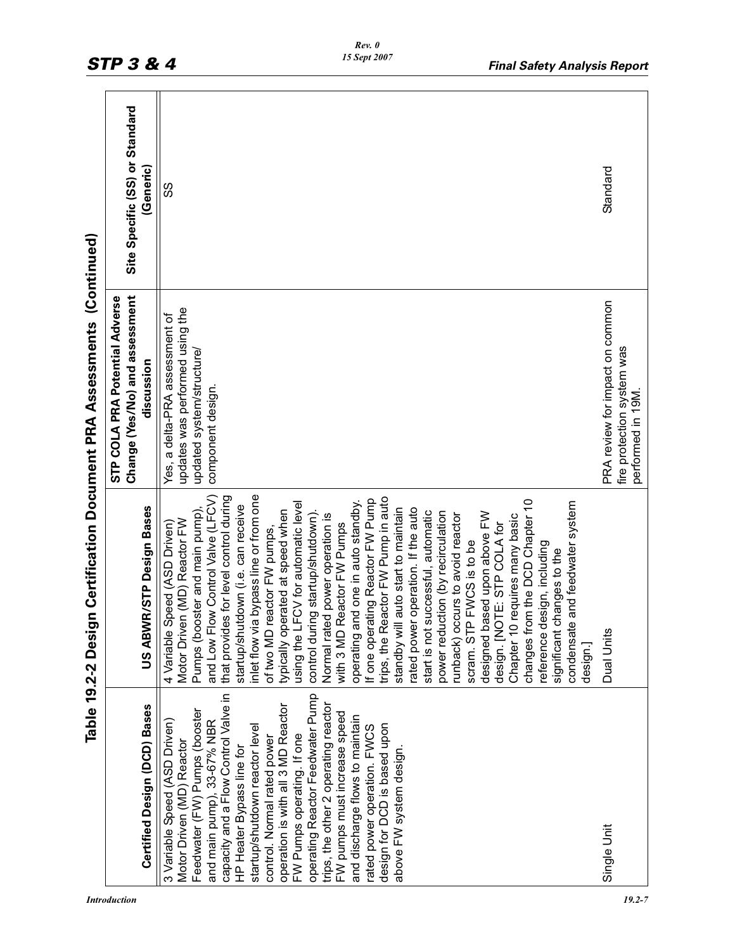|                                                                                                                                                                                                                                                                                                                                                                                                                                                                                                                                                                             | Table 19.2-2 Design Certification Document PRA Assessments                                                                                                                                                                                                                                                                                                                                                                                                                                                                                                                                                                                                                                                                                                                                                                                                                                                                                                                                                                                                                     |                                                                                                                     | (Continued)                    |
|-----------------------------------------------------------------------------------------------------------------------------------------------------------------------------------------------------------------------------------------------------------------------------------------------------------------------------------------------------------------------------------------------------------------------------------------------------------------------------------------------------------------------------------------------------------------------------|--------------------------------------------------------------------------------------------------------------------------------------------------------------------------------------------------------------------------------------------------------------------------------------------------------------------------------------------------------------------------------------------------------------------------------------------------------------------------------------------------------------------------------------------------------------------------------------------------------------------------------------------------------------------------------------------------------------------------------------------------------------------------------------------------------------------------------------------------------------------------------------------------------------------------------------------------------------------------------------------------------------------------------------------------------------------------------|---------------------------------------------------------------------------------------------------------------------|--------------------------------|
|                                                                                                                                                                                                                                                                                                                                                                                                                                                                                                                                                                             |                                                                                                                                                                                                                                                                                                                                                                                                                                                                                                                                                                                                                                                                                                                                                                                                                                                                                                                                                                                                                                                                                | Change (Yes/No) and assessment<br>STP COLA PRA Potential Adverse                                                    | Site Specific (SS) or Standard |
| <b>Certified Design (DCD) Bases</b>                                                                                                                                                                                                                                                                                                                                                                                                                                                                                                                                         | US ABWR/STP Design Bases                                                                                                                                                                                                                                                                                                                                                                                                                                                                                                                                                                                                                                                                                                                                                                                                                                                                                                                                                                                                                                                       | discussion                                                                                                          | (Generic)                      |
| capacity and a Flow Control Valve in<br>operating Reactor Feedwater Pump<br>operation is with all 3 MD Reactor<br>trips, the other 2 operating reactor<br>Feedwater (FW) Pumps (booster<br>FW pumps must increase speed<br>and discharge flows to maintain<br>3 Variable Speed (ASD Driven)<br>and main pump), 33-67% NBR<br>startup/shutdown reactor level<br>design for DCD is based upon<br>rated power operation. FWCS<br>FW Pumps operating. If one<br>control. Normal rated power<br>Motor Driven (MD) Reactor<br>HP Heater Bypass line for<br>above FW system design | and Low Flow Control Valve (LFCV)<br>that provides for level control during<br>inlet flow via bypass line or from one<br>trips, the Reactor FVV Pump in auto<br>If one operating Reactor FW Pump<br>changes from the DCD Chapter 10<br>operating and one in auto standby.<br>and feedwater system<br>using the LFCV for automatic level<br>startup/shutdown (i.e. can receive<br>auto start to maintain<br>operation. If the auto<br>typically operated at speed when<br>start is not successful, automatic<br>Pumps (booster and main pump)<br>control during startup/shutdown).<br>power reduction (by recirculation<br>designed based upon above FW<br>runback) occurs to avoid reactor<br>Normal rated power operation is<br>Chapter 10 requires many basic<br>Motor Driven (MD) Reactor FW<br>design. [NOTE: STP COLA for<br>4 Variable Speed (ASD Driven)<br>with 3 MD Reactor FW Pumps<br>of two MD reactor FW pumps,<br>scram. STP FWCS is to be<br>reference design, including<br>significant changes to the<br>standby will<br>rated power<br>condensate<br>design.] | updates was performed using the<br>Yes, a delta-PRA assessment of<br>updated system/structure/<br>component design. | တ္တ                            |
| Single Unit                                                                                                                                                                                                                                                                                                                                                                                                                                                                                                                                                                 | Dual Units                                                                                                                                                                                                                                                                                                                                                                                                                                                                                                                                                                                                                                                                                                                                                                                                                                                                                                                                                                                                                                                                     | PRA review for impact on common<br>fire protection system was<br>performed in 19M                                   | Standard                       |

*Rev. 0 15 Sept 2007*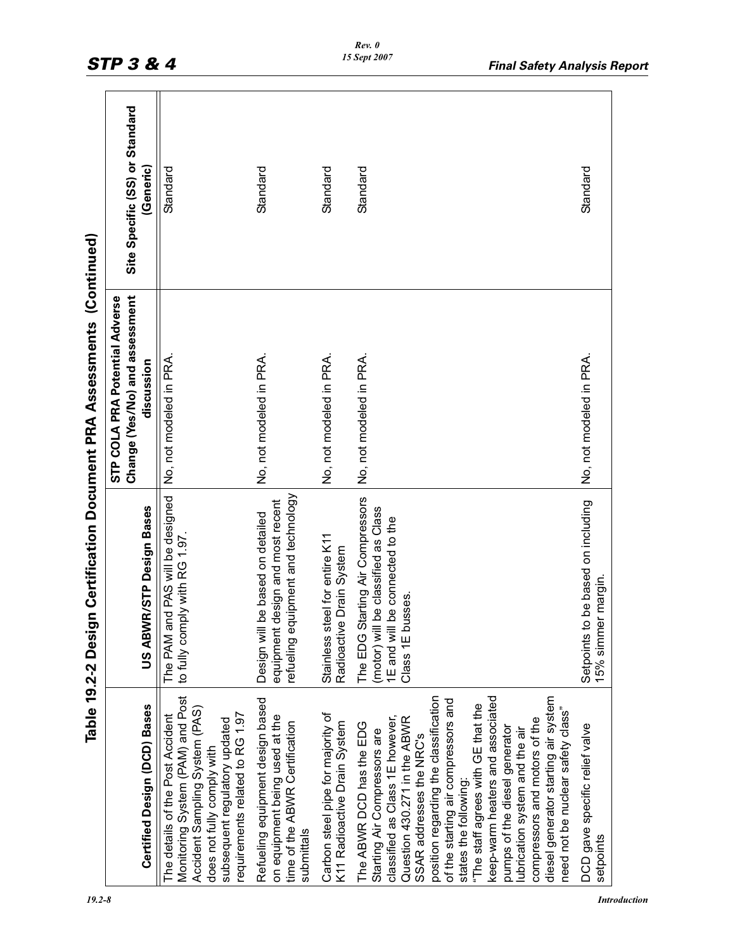|                                                                                                                                                                                                                                                                                                                                                                                                                                                                                                                            |                                                                                                                                   | Table 19.2-2 Design Certification Document PRA Assessments (Continued)         |                                             |
|----------------------------------------------------------------------------------------------------------------------------------------------------------------------------------------------------------------------------------------------------------------------------------------------------------------------------------------------------------------------------------------------------------------------------------------------------------------------------------------------------------------------------|-----------------------------------------------------------------------------------------------------------------------------------|--------------------------------------------------------------------------------|---------------------------------------------|
| Certified Design (DCD) Bases                                                                                                                                                                                                                                                                                                                                                                                                                                                                                               | US ABWR/STP Design Bases                                                                                                          | Change (Yes/No) and assessment<br>STP COLA PRA Potential Adverse<br>discussion | Site Specific (SS) or Standard<br>(Generic) |
| Monitoring System (PAM) and Post<br>Accident Sampling System (PAS)<br>equirements related to RG 1.97<br>The details of the Post Accident<br>subsequent regulatory updated<br>does not fully comply with                                                                                                                                                                                                                                                                                                                    | The PAM and PAS will be designed<br>to fully comply with RG 1.97.                                                                 | No, not modeled in PRA                                                         | Standard                                    |
| Refueling equipment design based<br>on equipment being used at the<br>time of the ABWR Certification<br>submittals                                                                                                                                                                                                                                                                                                                                                                                                         | refueling equipment and technology<br>equipment design and most recent<br>be based on detailed<br>Design will                     | No, not modeled in PRA.                                                        | Standard                                    |
| Carbon steel pipe for majority of<br>K11 Radioactive Drain System                                                                                                                                                                                                                                                                                                                                                                                                                                                          | Stainless steel for entire K11<br>Radioactive Drain System                                                                        | No, not modeled in PRA.                                                        | Standard                                    |
| position regarding the classification<br>keep-warm heaters and associated<br>diesel generator starting air system<br>of the starting air compressors and<br>The staff agrees with GE that the<br>need not be nuclear safety class"<br>classified as Class 1E however,<br>Question 430.271 in the ABWR<br>compressors and motors of the<br>The ABWR DCD has the EDG<br>pumps of the diesel generator<br>lubrication system and the air<br>Starting Air Compressors are<br>SSAR addresses the NRC's<br>states the following: | The EDG Starting Air Compressors<br>(motor) will be classified as Class<br>be connected to the<br>Class 1E busses.<br>1E and will | No, not modeled in PRA.                                                        | Standard                                    |
| DCD gave specific relief valve<br>setpoints                                                                                                                                                                                                                                                                                                                                                                                                                                                                                | be based on including<br>15% simmer margin.<br>Setpoints to                                                                       | No, not modeled in PRA                                                         | Standard                                    |
|                                                                                                                                                                                                                                                                                                                                                                                                                                                                                                                            |                                                                                                                                   |                                                                                |                                             |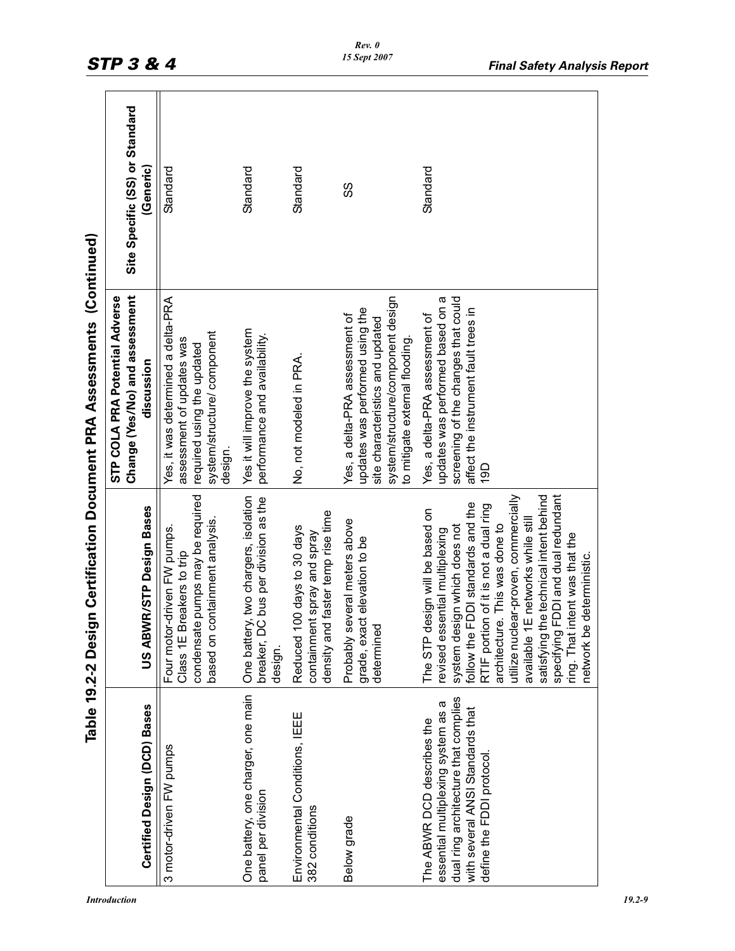| One batter<br>design.<br>One battery, one charger, one main<br>Certified Design (DCD) Bases<br>3 motor-driven FW pumps<br>panel per division                                                                                         |                                                                                                                                                                                                                                                                                                                                                                                                  |                                                                                                                                                                              |                                             |
|--------------------------------------------------------------------------------------------------------------------------------------------------------------------------------------------------------------------------------------|--------------------------------------------------------------------------------------------------------------------------------------------------------------------------------------------------------------------------------------------------------------------------------------------------------------------------------------------------------------------------------------------------|------------------------------------------------------------------------------------------------------------------------------------------------------------------------------|---------------------------------------------|
|                                                                                                                                                                                                                                      | US ABWR/STP Design Bases                                                                                                                                                                                                                                                                                                                                                                         | Change (Yes/No) and assessment<br>STP COLA PRA Potential Adverse<br>discussion                                                                                               | Site Specific (SS) or Standard<br>(Generic) |
|                                                                                                                                                                                                                                      | Four motor-driven FW pumps.<br>Class 1E Breakers to trip                                                                                                                                                                                                                                                                                                                                         | Yes, it was determined a delta-PRA<br>assessment of updates was                                                                                                              | Standard                                    |
|                                                                                                                                                                                                                                      | condensate pumps may be required<br>based on containment analysis.                                                                                                                                                                                                                                                                                                                               | system/structure/component<br>required using the updated<br>design.                                                                                                          |                                             |
|                                                                                                                                                                                                                                      | y, two chargers, isolation<br>breaker, DC bus per division as the                                                                                                                                                                                                                                                                                                                                | Yes it will improve the system<br>performance and availability.                                                                                                              | Standard                                    |
| Reduced 1<br>Environmental Conditions, IEEE<br>382 conditions                                                                                                                                                                        | density and faster temp rise time<br>00 days to 30 days<br>containment spray and spray                                                                                                                                                                                                                                                                                                           | No, not modeled in PRA.                                                                                                                                                      | Standard                                    |
| determined<br>Below grade                                                                                                                                                                                                            | Probably several meters above<br>grade, exact elevation to be                                                                                                                                                                                                                                                                                                                                    | system/structure/component design<br>updates was performed using the<br>Yes, a delta-PRA assessment of<br>site characteristics and updated<br>to mitigate external flooding. | SS                                          |
| network be<br>available 1<br>ring. That i<br>specifying<br>dual ring architecture that complies<br>essential multiplexing system as a<br>with several ANSI Standards that<br>The ABWR DCD describes the<br>define the FDDI protocol. | FDDI and dual redundant<br>utilize nuclear-proven, commercially<br>satisfying the technical intent behind<br>follow the FDDI standards and the<br>RTIF portion of it is not a dual ring<br>The STP design will be based on<br>E networks while still<br>system design which does not<br>architecture. This was done to<br>revised essential multiplexing<br>ntent was that the<br>deterministic. | screening of the changes that could<br>updates was performed based on a<br>affect the instrument fault trees in<br>Yes, a delta-PRA assessment of<br>19D                     | Standard                                    |